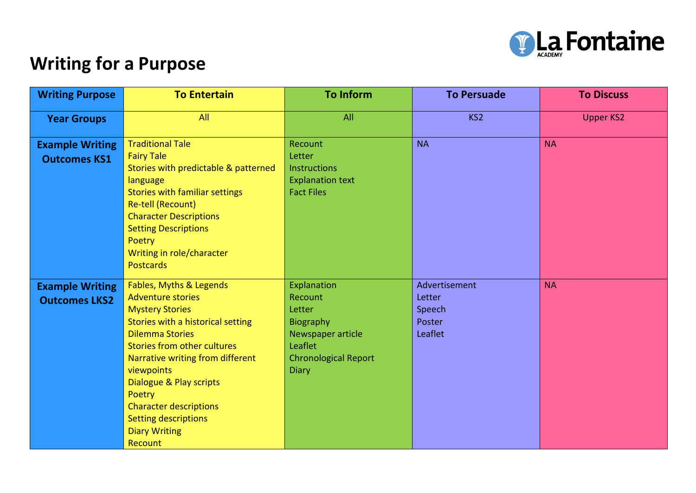

## **Writing for a Purpose**

| <b>Writing Purpose</b>                         | <b>To Entertain</b>                                                                                                                                                                                                                                                                                                                                                          | <b>To Inform</b>                                                                                                                    | <b>To Persuade</b>                                     | <b>To Discuss</b> |
|------------------------------------------------|------------------------------------------------------------------------------------------------------------------------------------------------------------------------------------------------------------------------------------------------------------------------------------------------------------------------------------------------------------------------------|-------------------------------------------------------------------------------------------------------------------------------------|--------------------------------------------------------|-------------------|
| <b>Year Groups</b>                             | All                                                                                                                                                                                                                                                                                                                                                                          | All                                                                                                                                 | KS <sub>2</sub>                                        | <b>Upper KS2</b>  |
| <b>Example Writing</b><br><b>Outcomes KS1</b>  | <b>Traditional Tale</b><br><b>Fairy Tale</b><br>Stories with predictable & patterned<br>language<br><b>Stories with familiar settings</b><br>Re-tell (Recount)<br><b>Character Descriptions</b><br><b>Setting Descriptions</b><br>Poetry<br>Writing in role/character<br><b>Postcards</b>                                                                                    | Recount<br>Letter<br><b>Instructions</b><br><b>Explanation text</b><br><b>Fact Files</b>                                            | <b>NA</b>                                              | <b>NA</b>         |
| <b>Example Writing</b><br><b>Outcomes LKS2</b> | Fables, Myths & Legends<br><b>Adventure stories</b><br><b>Mystery Stories</b><br>Stories with a historical setting<br><b>Dilemma Stories</b><br><b>Stories from other cultures</b><br>Narrative writing from different<br>viewpoints<br>Dialogue & Play scripts<br>Poetry<br><b>Character descriptions</b><br><b>Setting descriptions</b><br><b>Diary Writing</b><br>Recount | Explanation<br>Recount<br>Letter<br><b>Biography</b><br>Newspaper article<br>Leaflet<br><b>Chronological Report</b><br><b>Diary</b> | Advertisement<br>Letter<br>Speech<br>Poster<br>Leaflet | <b>NA</b>         |